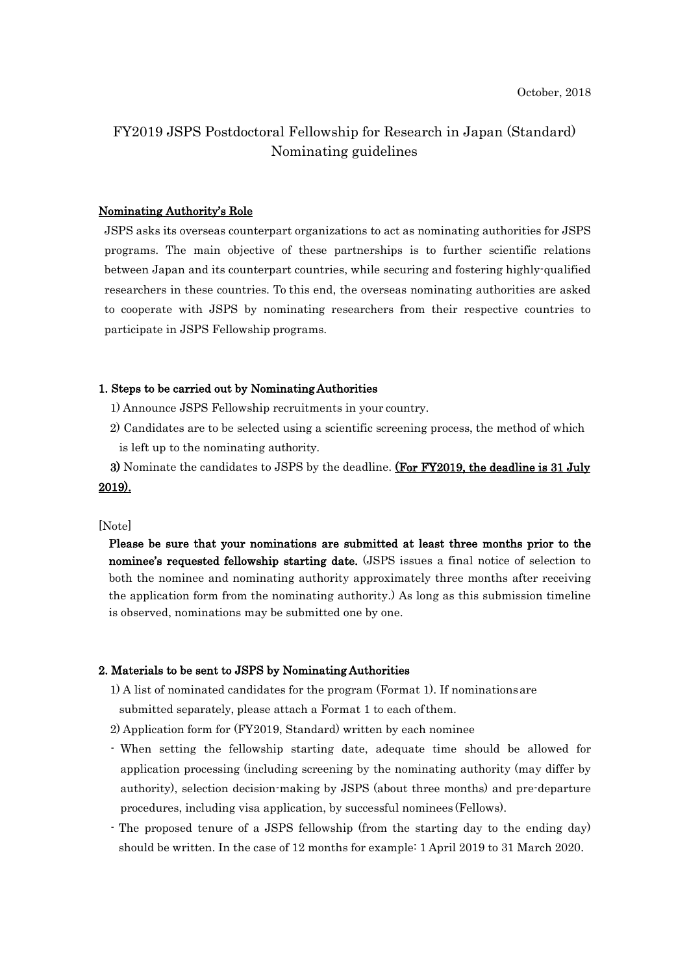# FY2019 JSPS Postdoctoral Fellowship for Research in Japan (Standard) Nominating guidelines

## Nominating Authority's Role

JSPS asks its overseas counterpart organizations to act as nominating authorities for JSPS programs. The main objective of these partnerships is to further scientific relations between Japan and its counterpart countries, while securing and fostering highly-qualified researchers in these countries. To this end, the overseas nominating authorities are asked to cooperate with JSPS by nominating researchers from their respective countries to participate in JSPS Fellowship programs.

## 1. Steps to be carried out by Nominating Authorities

- 1) Announce JSPS Fellowship recruitments in your country.
- 2) Candidates are to be selected using a scientific screening process, the method of which is left up to the nominating authority.
- 3) Nominate the candidates to JSPS by the deadline. (For FY2019, the deadline is 31 July 2019).

#### [Note]

Please be sure that your nominations are submitted at least three months prior to the nominee's requested fellowship starting date. (JSPS issues a final notice of selection to both the nominee and nominating authority approximately three months after receiving the application form from the nominating authority.) As long as this submission timeline is observed, nominations may be submitted one by one.

## 2. Materials to be sent to JSPS by Nominating Authorities

1) A list of nominated candidates for the program (Format 1). If nominationsare

submitted separately, please attach a Format 1 to each ofthem.

2) Application form for (FY2019, Standard) written by each nominee

- When setting the fellowship starting date, adequate time should be allowed for application processing (including screening by the nominating authority (may differ by authority), selection decision-making by JSPS (about three months) and pre-departure procedures, including visa application, by successful nominees (Fellows).
- The proposed tenure of a JSPS fellowship (from the starting day to the ending day) should be written. In the case of 12 months for example: 1 April 2019 to 31 March 2020.